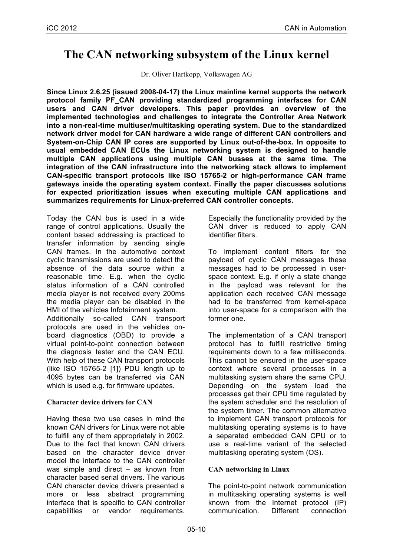# **The CAN networking subsystem of the Linux kernel**

Dr. Oliver Hartkopp, Volkswagen AG

**Since Linux 2.6.25 (issued 2008-04-17) the Linux mainline kernel supports the network protocol family PF\_CAN providing standardized programming interfaces for CAN users and CAN driver developers. This paper provides an overview of the implemented technologies and challenges to integrate the Controller Area Network into a non-real-time multiuser/multitasking operating system. Due to the standardized network driver model for CAN hardware a wide range of different CAN controllers and System-on-Chip CAN IP cores are supported by Linux out-of-the-box. In opposite to usual embedded CAN ECUs the Linux networking system is designed to handle multiple CAN applications using multiple CAN busses at the same time. The integration of the CAN infrastructure into the networking stack allows to implement CAN-specific transport protocols like ISO 15765-2 or high-performance CAN frame gateways inside the operating system context. Finally the paper discusses solutions for expected prioritization issues when executing multiple CAN applications and summarizes requirements for Linux-preferred CAN controller concepts.**

Today the CAN bus is used in a wide range of control applications. Usually the content based addressing is practiced to transfer information by sending single CAN frames. In the automotive context cyclic transmissions are used to detect the absence of the data source within a reasonable time. E.g. when the cyclic status information of a CAN controlled media player is not received every 200ms the media player can be disabled in the HMI of the vehicles Infotainment system. Additionally so-called CAN transport protocols are used in the vehicles onboard diagnostics (OBD) to provide a virtual point-to-point connection between the diagnosis tester and the CAN ECU. With help of these CAN transport protocols (like ISO 15765-2 [1]) PDU length up to 4095 bytes can be transferred via CAN which is used e.g. for firmware updates.

# **Character device drivers for CAN**

Having these two use cases in mind the known CAN drivers for Linux were not able to fulfill any of them appropriately in 2002. Due to the fact that known CAN drivers based on the character device driver model the interface to the CAN controller was simple and direct – as known from character based serial drivers. The various CAN character device drivers presented a more or less abstract programming interface that is specific to CAN controller capabilities or vendor requirements.

Especially the functionality provided by the CAN driver is reduced to apply CAN identifier filters.

To implement content filters for the payload of cyclic CAN messages these messages had to be processed in userspace context. E.g. if only a state change in the payload was relevant for the application each received CAN message had to be transferred from kernel-space into user-space for a comparison with the former one.

The implementation of a CAN transport protocol has to fulfill restrictive timing requirements down to a few milliseconds. This cannot be ensured in the user-space context where several processes in a multitasking system share the same CPU. Depending on the system load the processes get their CPU time regulated by the system scheduler and the resolution of the system timer. The common alternative to implement CAN transport protocols for multitasking operating systems is to have a separated embedded CAN CPU or to use a real-time variant of the selected multitasking operating system (OS).

# **CAN networking in Linux**

The point-to-point network communication in multitasking operating systems is well known from the Internet protocol (IP) communication. Different connection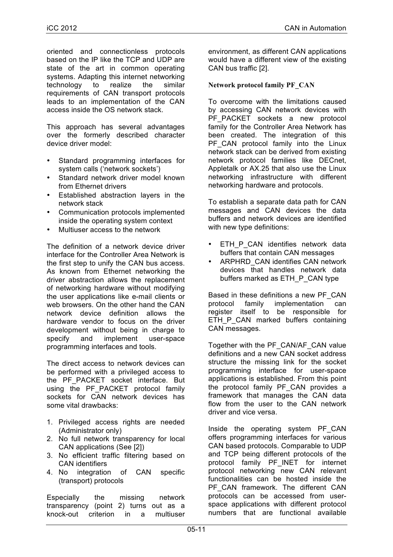oriented and connectionless protocols based on the IP like the TCP and UDP are state of the art in common operating systems. Adapting this internet networking technology to realize the similar requirements of CAN transport protocols leads to an implementation of the CAN access inside the OS network stack.

This approach has several advantages over the formerly described character device driver model:

- Standard programming interfaces for system calls ('network sockets')
- Standard network driver model known from Ethernet drivers
- Established abstraction layers in the network stack
- Communication protocols implemented inside the operating system context
- Multiuser access to the network

The definition of a network device driver interface for the Controller Area Network is the first step to unify the CAN bus access. As known from Ethernet networking the driver abstraction allows the replacement of networking hardware without modifying the user applications like e-mail clients or web browsers. On the other hand the CAN network device definition allows the hardware vendor to focus on the driver development without being in charge to specify and implement user-space programming interfaces and tools.

The direct access to network devices can be performed with a privileged access to the PF PACKET socket interface. But using the PF PACKET protocol family sockets for CAN network devices has some vital drawbacks:

- 1. Privileged access rights are needed (Administrator only)
- 2. No full network transparency for local CAN applications (See [2])
- 3. No efficient traffic filtering based on CAN identifiers
- 4. No integration of CAN specific (transport) protocols

Especially the missing network transparency (point 2) turns out as a knock-out criterion in a multiuser environment, as different CAN applications would have a different view of the existing CAN bus traffic [2].

## **Network protocol family PF\_CAN**

To overcome with the limitations caused by accessing CAN network devices with PF\_PACKET sockets a new protocol family for the Controller Area Network has been created. The integration of this PF CAN protocol family into the Linux network stack can be derived from existing network protocol families like DECnet, Appletalk or AX.25 that also use the Linux networking infrastructure with different networking hardware and protocols.

To establish a separate data path for CAN messages and CAN devices the data buffers and network devices are identified with new type definitions:

- ETH P CAN identifies network data buffers that contain CAN messages
- ARPHRD\_CAN identifies CAN network devices that handles network data buffers marked as ETH\_P\_CAN type

Based in these definitions a new PF\_CAN protocol family implementation can register itself to be responsible for ETH\_P\_CAN marked buffers containing CAN messages.

Together with the PF\_CAN/AF\_CAN value definitions and a new CAN socket address structure the missing link for the socket programming interface for user-space applications is established. From this point the protocol family PF CAN provides a framework that manages the CAN data flow from the user to the CAN network driver and vice versa.

Inside the operating system PF\_CAN offers programming interfaces for various CAN based protocols. Comparable to UDP and TCP being different protocols of the protocol family PF\_INET for internet protocol networking new CAN relevant functionalities can be hosted inside the PF CAN framework. The different CAN protocols can be accessed from userspace applications with different protocol numbers that are functional available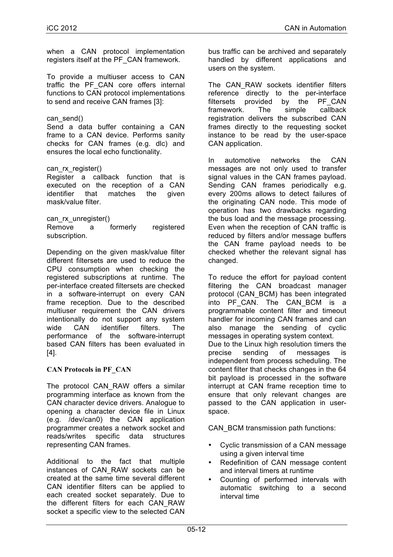when a CAN protocol implementation registers itself at the PF\_CAN framework.

To provide a multiuser access to CAN traffic the PF\_CAN core offers internal functions to CAN protocol implementations to send and receive CAN frames [3]:

## can\_send()

Send a data buffer containing a CAN frame to a CAN device. Performs sanity checks for CAN frames (e.g. dlc) and ensures the local echo functionality.

### can rx register()

Register a callback function that is executed on the reception of a CAN identifier that matches the given mask/value filter.

#### can\_rx\_unregister()

Remove a formerly registered subscription.

Depending on the given mask/value filter different filtersets are used to reduce the CPU consumption when checking the registered subscriptions at runtime. The per-interface created filtersets are checked in a software-interrupt on every CAN frame reception. Due to the described multiuser requirement the CAN drivers intentionally do not support any system wide CAN identifier filters. The performance of the software-interrupt based CAN filters has been evaluated in [4].

# **CAN Protocols in PF\_CAN**

The protocol CAN\_RAW offers a similar programming interface as known from the CAN character device drivers. Analogue to opening a character device file in Linux (e.g. /dev/can0) the CAN application programmer creates a network socket and reads/writes specific data structures representing CAN frames.

Additional to the fact that multiple instances of CAN\_RAW sockets can be created at the same time several different CAN identifier filters can be applied to each created socket separately. Due to the different filters for each CAN\_RAW socket a specific view to the selected CAN

bus traffic can be archived and separately handled by different applications and users on the system.

The CAN RAW sockets identifier filters reference directly to the per-interface filtersets provided by the PF\_CAN framework. The simple callback registration delivers the subscribed CAN frames directly to the requesting socket instance to be read by the user-space CAN application.

In automotive networks the CAN messages are not only used to transfer signal values in the CAN frames payload. Sending CAN frames periodically e.g. every 200ms allows to detect failures of the originating CAN node. This mode of operation has two drawbacks regarding the bus load and the message processing. Even when the reception of CAN traffic is reduced by filters and/or message buffers the CAN frame payload needs to be checked whether the relevant signal has changed.

To reduce the effort for payload content filtering the CAN broadcast manager protocol (CAN\_BCM) has been integrated into PF CAN. The CAN BCM is a programmable content filter and timeout handler for incoming CAN frames and can also manage the sending of cyclic messages in operating system context. Due to the Linux high resolution timers the precise sending of messages is independent from process scheduling. The content filter that checks changes in the 64 bit payload is processed in the software interrupt at CAN frame reception time to ensure that only relevant changes are passed to the CAN application in userspace.

CAN BCM transmission path functions:

- Cyclic transmission of a CAN message using a given interval time
- Redefinition of CAN message content and interval timers at runtime
- Counting of performed intervals with automatic switching to a second interval time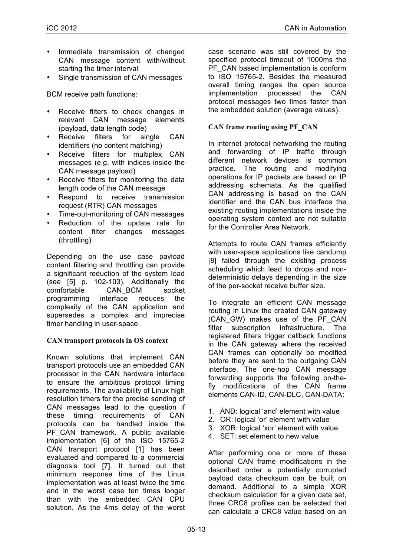- Immediate transmission of changed CAN message content with/without starting the timer interval
- Single transmission of CAN messages

BCM receive path functions:

- Receive filters to check changes in relevant CAN message elements (payload, data length code)
- Receive filters for single CAN identifiers (no content matching)
- Receive filters for multiplex CAN messages (e.g. with indices inside the CAN message payload)
- Receive filters for monitoring the data length code of the CAN message
- Respond to receive transmission request (RTR) CAN messages
- Time-out-monitoring of CAN messages
- Reduction of the update rate for content filter changes messages (throttling)

Depending on the use case payload content filtering and throttling can provide a significant reduction of the system load (see [5] p. 102-103). Additionally the comfortable CAN\_BCM socket programming interface reduces the complexity of the CAN application and supersedes a complex and imprecise timer handling in user-space.

### **CAN transport protocols in OS context**

Known solutions that implement CAN transport protocols use an embedded CAN processor in the CAN hardware interface to ensure the ambitious protocol timing requirements. The availability of Linux high resolution timers for the precise sending of CAN messages lead to the question if these timing requirements of CAN protocols can be handled inside the PF\_CAN framework. A public available implementation [6] of the ISO 15765-2 CAN transport protocol [1] has been evaluated and compared to a commercial diagnosis tool [7]. It turned out that minimum response time of the Linux implementation was at least twice the time and in the worst case ten times longer than with the embedded CAN CPU solution. As the 4ms delay of the worst case scenario was still covered by the specified protocol timeout of 1000ms the PF\_CAN based implementation is conform to ISO 15765-2. Besides the measured overall timing ranges the open source implementation processed the CAN protocol messages two times faster than the embedded solution (average values).

# **CAN frame routing using PF\_CAN**

In internet protocol networking the routing and forwarding of IP traffic through different network devices is common practice. The routing and modifying operations for IP packets are based on IP addressing schemata. As the qualified CAN addressing is based on the CAN identifier and the CAN bus interface the existing routing implementations inside the operating system context are not suitable for the Controller Area Network.

Attempts to route CAN frames efficiently with user-space applications like candump [8] failed through the existing process scheduling which lead to drops and nondeterministic delays depending in the size of the per-socket receive buffer size.

To integrate an efficient CAN message routing in Linux the created CAN gateway (CAN\_GW) makes use of the PF\_CAN filter subscription infrastructure. The registered filters trigger callback functions in the CAN gateway where the received CAN frames can optionally be modified before they are sent to the outgoing CAN interface. The one-hop CAN message forwarding supports the following on-thefly modifications of the CAN frame elements CAN-ID, CAN-DLC, CAN-DATA:

- 1. AND: logical 'and' element with value
- 2. OR: logical 'or' element with value
- 3. XOR: logical 'xor' element with value
- 4. SET: set element to new value

After performing one or more of these optional CAN frame modifications in the described order a potentially corrupted payload data checksum can be built on demand. Additional to a simple XOR checksum calculation for a given data set, three CRC8 profiles can be selected that can calculate a CRC8 value based on an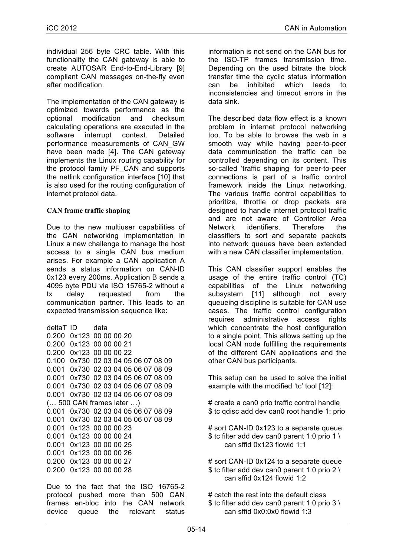individual 256 byte CRC table. With this functionality the CAN gateway is able to create AUTOSAR End-to-End-Library [9] compliant CAN messages on-the-fly even after modification.

The implementation of the CAN gateway is optimized towards performance as the optional modification and checksum calculating operations are executed in the software interrupt context. Detailed performance measurements of CAN\_GW have been made [4]. The CAN gateway implements the Linux routing capability for the protocol family PF\_CAN and supports the netlink configuration interface [10] that is also used for the routing configuration of internet protocol data.

## **CAN frame traffic shaping**

Due to the new multiuser capabilities of the CAN networking implementation in Linux a new challenge to manage the host access to a single CAN bus medium arises. For example a CAN application A sends a status information on CAN-ID 0x123 every 200ms. Application B sends a 4095 byte PDU via ISO 15765-2 without a tx delay requested from the communication partner. This leads to an expected transmission sequence like:

```
deltaT ID data
0.200 0x123 00 00 00 20
0.200 0x123 00 00 00 21
0.200 0x123 00 00 00 22
0.100 0x730 02 03 04 05 06 07 08 09
0.001 0x730 02 03 04 05 06 07 08 09
0.001 0x730 02 03 04 05 06 07 08 09
0.001 0x730 02 03 04 05 06 07 08 09
0.001 0x730 02 03 04 05 06 07 08 09
(… 500 CAN frames later …) 
0.001 0x730 02 03 04 05 06 07 08 09
0.001 0x730 02 03 04 05 06 07 08 09
0.001 0x123 00 00 00 23
0.001 0x123 00 00 00 24
0.001 0x123 00 00 00 25
0.001 0x123 00 00 00 26
0.200 0x123 00 00 00 27
0.200 0x123 00 00 00 28
```
Due to the fact that the ISO 16765-2 protocol pushed more than 500 CAN frames en-bloc into the CAN network device queue the relevant status

information is not send on the CAN bus for the ISO-TP frames transmission time. Depending on the used bitrate the block transfer time the cyclic status information can be inhibited which leads to inconsistencies and timeout errors in the data sink.

The described data flow effect is a known problem in internet protocol networking too. To be able to browse the web in a smooth way while having peer-to-peer data communication the traffic can be controlled depending on its content. This so-called 'traffic shaping' for peer-to-peer connections is part of a traffic control framework inside the Linux networking. The various traffic control capabilities to prioritize, throttle or drop packets are designed to handle internet protocol traffic and are not aware of Controller Area Network identifiers. Therefore the classifiers to sort and separate packets into network queues have been extended with a new CAN classifier implementation.

This CAN classifier support enables the usage of the entire traffic control (TC) capabilities of the Linux networking subsystem [11] although not every queueing discipline is suitable for CAN use cases. The traffic control configuration requires administrative access rights which concentrate the host configuration to a single point. This allows setting up the local CAN node fulfilling the requirements of the different CAN applications and the other CAN bus participants.

This setup can be used to solve the initial example with the modified 'tc' tool [12]:

# create a can0 prio traffic control handle \$ tc qdisc add dev can0 root handle 1: prio

# sort CAN-ID 0x123 to a separate queue \$ tc filter add dev can0 parent 1:0 prio 1 \ can sffid 0x123 flowid 1:1

# sort CAN-ID 0x124 to a separate queue \$ tc filter add dev can0 parent 1:0 prio 2  $\backslash$ can sffid 0x124 flowid 1:2

# catch the rest into the default class \$ tc filter add dev can0 parent 1:0 prio 3 \ can sffid 0x0:0x0 flowid 1:3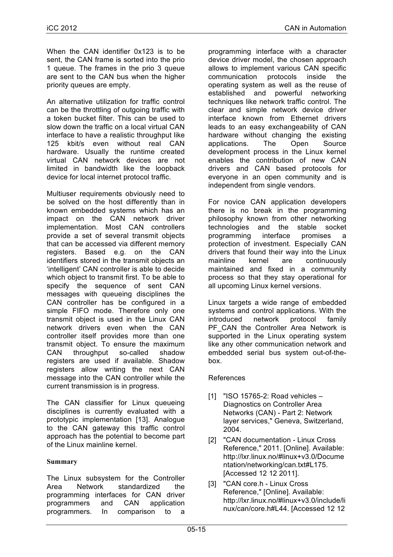When the CAN identifier 0x123 is to be sent, the CAN frame is sorted into the prio 1 queue. The frames in the prio 3 queue are sent to the CAN bus when the higher priority queues are empty.

An alternative utilization for traffic control can be the throttling of outgoing traffic with a token bucket filter. This can be used to slow down the traffic on a local virtual CAN interface to have a realistic throughput like 125 kbit/s even without real CAN hardware. Usually the runtime created virtual CAN network devices are not limited in bandwidth like the loopback device for local internet protocol traffic.

Multiuser requirements obviously need to be solved on the host differently than in known embedded systems which has an impact on the CAN network driver implementation. Most CAN controllers provide a set of several transmit objects that can be accessed via different memory registers. Based e.g. on the CAN identifiers stored in the transmit objects an 'intelligent' CAN controller is able to decide which object to transmit first. To be able to specify the sequence of sent CAN messages with queueing disciplines the CAN controller has be configured in a simple FIFO mode. Therefore only one transmit object is used in the Linux CAN network drivers even when the CAN controller itself provides more than one transmit object. To ensure the maximum CAN throughput so-called shadow registers are used if available. Shadow registers allow writing the next CAN message into the CAN controller while the current transmission is in progress.

The CAN classifier for Linux queueing disciplines is currently evaluated with a prototypic implementation [13]. Analogue to the CAN gateway this traffic control approach has the potential to become part of the Linux mainline kernel.

### **Summary**

The Linux subsystem for the Controller Area Network standardized the programming interfaces for CAN driver programmers and CAN application programmers. In comparison to a

programming interface with a character device driver model, the chosen approach allows to implement various CAN specific communication protocols inside the operating system as well as the reuse of established and powerful networking techniques like network traffic control. The clear and simple network device driver interface known from Ethernet drivers leads to an easy exchangeability of CAN hardware without changing the existing applications. The Open Source development process in the Linux kernel enables the contribution of new CAN drivers and CAN based protocols for everyone in an open community and is independent from single vendors.

For novice CAN application developers there is no break in the programming philosophy known from other networking technologies and the stable socket programming interface promises a protection of investment. Especially CAN drivers that found their way into the Linux mainline kernel are continuously maintained and fixed in a community process so that they stay operational for all upcoming Linux kernel versions.

Linux targets a wide range of embedded systems and control applications. With the introduced network protocol family PF CAN the Controller Area Network is supported in the Linux operating system like any other communication network and embedded serial bus system out-of-thebox.

### References

- [1] "ISO 15765-2: Road vehicles Diagnostics on Controller Area Networks (CAN) - Part 2: Network layer services," Geneva, Switzerland, 2004.
- [2] "CAN documentation Linux Cross Reference," 2011. [Online]. Available: http://lxr.linux.no/#linux+v3.0/Docume ntation/networking/can.txt#L175. [Accessed 12 12 2011].
- [3] "CAN core.h Linux Cross Reference," [Online]. Available: http://lxr.linux.no/#linux+v3.0/include/li nux/can/core.h#L44. [Accessed 12 12